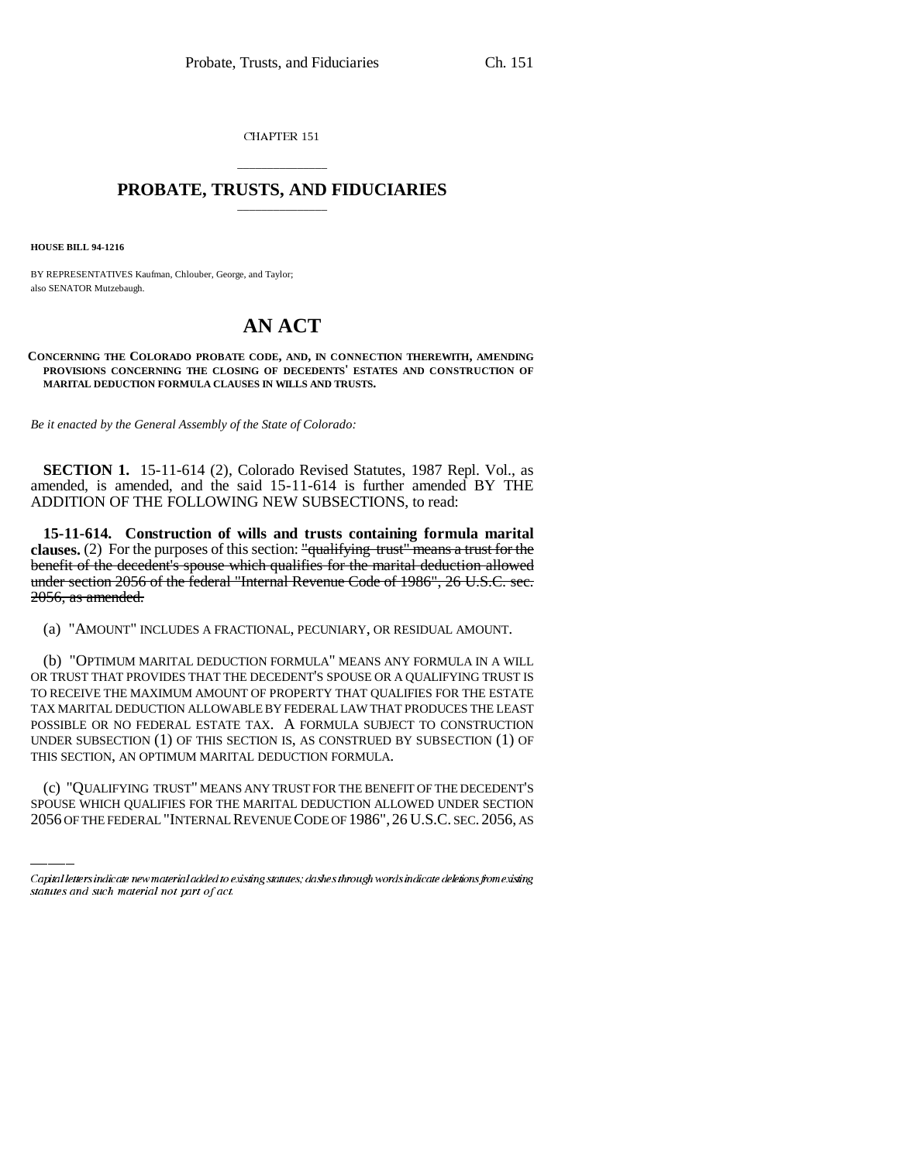CHAPTER 151

## \_\_\_\_\_\_\_\_\_\_\_\_\_\_\_ **PROBATE, TRUSTS, AND FIDUCIARIES** \_\_\_\_\_\_\_\_\_\_\_\_\_\_\_

**HOUSE BILL 94-1216**

BY REPRESENTATIVES Kaufman, Chlouber, George, and Taylor; also SENATOR Mutzebaugh.

## **AN ACT**

**CONCERNING THE COLORADO PROBATE CODE, AND, IN CONNECTION THEREWITH, AMENDING PROVISIONS CONCERNING THE CLOSING OF DECEDENTS' ESTATES AND CONSTRUCTION OF MARITAL DEDUCTION FORMULA CLAUSES IN WILLS AND TRUSTS.**

*Be it enacted by the General Assembly of the State of Colorado:*

**SECTION 1.** 15-11-614 (2), Colorado Revised Statutes, 1987 Repl. Vol., as amended, is amended, and the said 15-11-614 is further amended BY THE ADDITION OF THE FOLLOWING NEW SUBSECTIONS, to read:

**15-11-614. Construction of wills and trusts containing formula marital clauses.** (2) For the purposes of this section: "qualifying trust" means a trust for the benefit of the decedent's spouse which qualifies for the marital deduction allowed under section 2056 of the federal "Internal Revenue Code of 1986", 26 U.S.C. sec. 2056, as amended.

(a) "AMOUNT" INCLUDES A FRACTIONAL, PECUNIARY, OR RESIDUAL AMOUNT.

THIS SECTION, AN OPTIMUM MARITAL DEDUCTION FORMULA. (b) "OPTIMUM MARITAL DEDUCTION FORMULA" MEANS ANY FORMULA IN A WILL OR TRUST THAT PROVIDES THAT THE DECEDENT'S SPOUSE OR A QUALIFYING TRUST IS TO RECEIVE THE MAXIMUM AMOUNT OF PROPERTY THAT QUALIFIES FOR THE ESTATE TAX MARITAL DEDUCTION ALLOWABLE BY FEDERAL LAW THAT PRODUCES THE LEAST POSSIBLE OR NO FEDERAL ESTATE TAX. A FORMULA SUBJECT TO CONSTRUCTION UNDER SUBSECTION (1) OF THIS SECTION IS, AS CONSTRUED BY SUBSECTION (1) OF

(c) "QUALIFYING TRUST" MEANS ANY TRUST FOR THE BENEFIT OF THE DECEDENT'S SPOUSE WHICH QUALIFIES FOR THE MARITAL DEDUCTION ALLOWED UNDER SECTION 2056 OF THE FEDERAL "INTERNAL REVENUE CODE OF 1986", 26 U.S.C. SEC. 2056, AS

Capital letters indicate new material added to existing statutes; dashes through words indicate deletions from existing statutes and such material not part of act.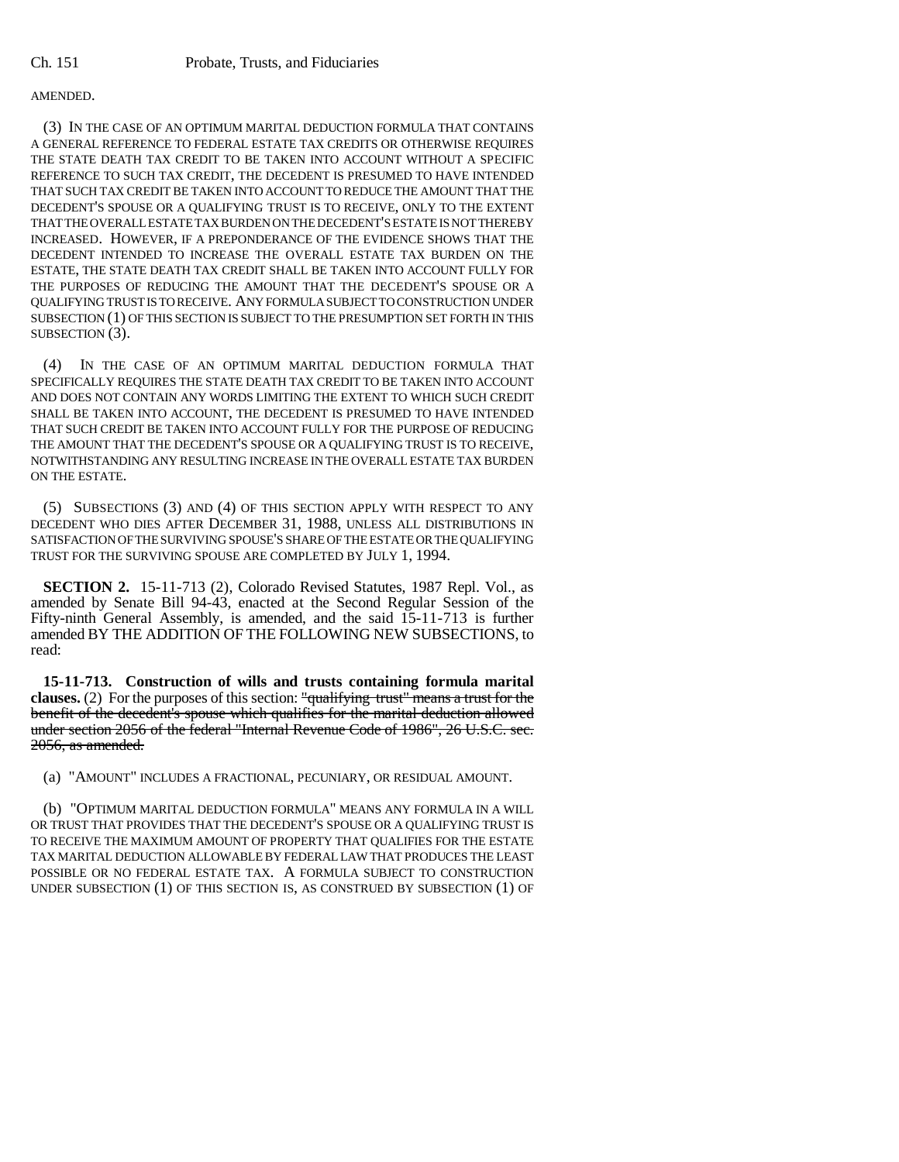## AMENDED.

(3) IN THE CASE OF AN OPTIMUM MARITAL DEDUCTION FORMULA THAT CONTAINS A GENERAL REFERENCE TO FEDERAL ESTATE TAX CREDITS OR OTHERWISE REQUIRES THE STATE DEATH TAX CREDIT TO BE TAKEN INTO ACCOUNT WITHOUT A SPECIFIC REFERENCE TO SUCH TAX CREDIT, THE DECEDENT IS PRESUMED TO HAVE INTENDED THAT SUCH TAX CREDIT BE TAKEN INTO ACCOUNT TO REDUCE THE AMOUNT THAT THE DECEDENT'S SPOUSE OR A QUALIFYING TRUST IS TO RECEIVE, ONLY TO THE EXTENT THAT THE OVERALL ESTATE TAX BURDEN ON THE DECEDENT'S ESTATE IS NOT THEREBY INCREASED. HOWEVER, IF A PREPONDERANCE OF THE EVIDENCE SHOWS THAT THE DECEDENT INTENDED TO INCREASE THE OVERALL ESTATE TAX BURDEN ON THE ESTATE, THE STATE DEATH TAX CREDIT SHALL BE TAKEN INTO ACCOUNT FULLY FOR THE PURPOSES OF REDUCING THE AMOUNT THAT THE DECEDENT'S SPOUSE OR A QUALIFYING TRUST IS TO RECEIVE. ANY FORMULA SUBJECT TO CONSTRUCTION UNDER SUBSECTION (1) OF THIS SECTION IS SUBJECT TO THE PRESUMPTION SET FORTH IN THIS SUBSECTION (3).

(4) IN THE CASE OF AN OPTIMUM MARITAL DEDUCTION FORMULA THAT SPECIFICALLY REQUIRES THE STATE DEATH TAX CREDIT TO BE TAKEN INTO ACCOUNT AND DOES NOT CONTAIN ANY WORDS LIMITING THE EXTENT TO WHICH SUCH CREDIT SHALL BE TAKEN INTO ACCOUNT, THE DECEDENT IS PRESUMED TO HAVE INTENDED THAT SUCH CREDIT BE TAKEN INTO ACCOUNT FULLY FOR THE PURPOSE OF REDUCING THE AMOUNT THAT THE DECEDENT'S SPOUSE OR A QUALIFYING TRUST IS TO RECEIVE, NOTWITHSTANDING ANY RESULTING INCREASE IN THE OVERALL ESTATE TAX BURDEN ON THE ESTATE.

(5) SUBSECTIONS (3) AND (4) OF THIS SECTION APPLY WITH RESPECT TO ANY DECEDENT WHO DIES AFTER DECEMBER 31, 1988, UNLESS ALL DISTRIBUTIONS IN SATISFACTION OF THE SURVIVING SPOUSE'S SHARE OF THE ESTATE OR THE QUALIFYING TRUST FOR THE SURVIVING SPOUSE ARE COMPLETED BY JULY 1, 1994.

**SECTION 2.** 15-11-713 (2), Colorado Revised Statutes, 1987 Repl. Vol., as amended by Senate Bill 94-43, enacted at the Second Regular Session of the Fifty-ninth General Assembly, is amended, and the said 15-11-713 is further amended BY THE ADDITION OF THE FOLLOWING NEW SUBSECTIONS, to read:

**15-11-713. Construction of wills and trusts containing formula marital clauses.** (2) For the purposes of this section: "qualifying trust" means a trust for the benefit of the decedent's spouse which qualifies for the marital deduction allowed under section 2056 of the federal "Internal Revenue Code of 1986", 26 U.S.C. sec. 2056, as amended.

(a) "AMOUNT" INCLUDES A FRACTIONAL, PECUNIARY, OR RESIDUAL AMOUNT.

(b) "OPTIMUM MARITAL DEDUCTION FORMULA" MEANS ANY FORMULA IN A WILL OR TRUST THAT PROVIDES THAT THE DECEDENT'S SPOUSE OR A QUALIFYING TRUST IS TO RECEIVE THE MAXIMUM AMOUNT OF PROPERTY THAT QUALIFIES FOR THE ESTATE TAX MARITAL DEDUCTION ALLOWABLE BY FEDERAL LAW THAT PRODUCES THE LEAST POSSIBLE OR NO FEDERAL ESTATE TAX. A FORMULA SUBJECT TO CONSTRUCTION UNDER SUBSECTION (1) OF THIS SECTION IS, AS CONSTRUED BY SUBSECTION (1) OF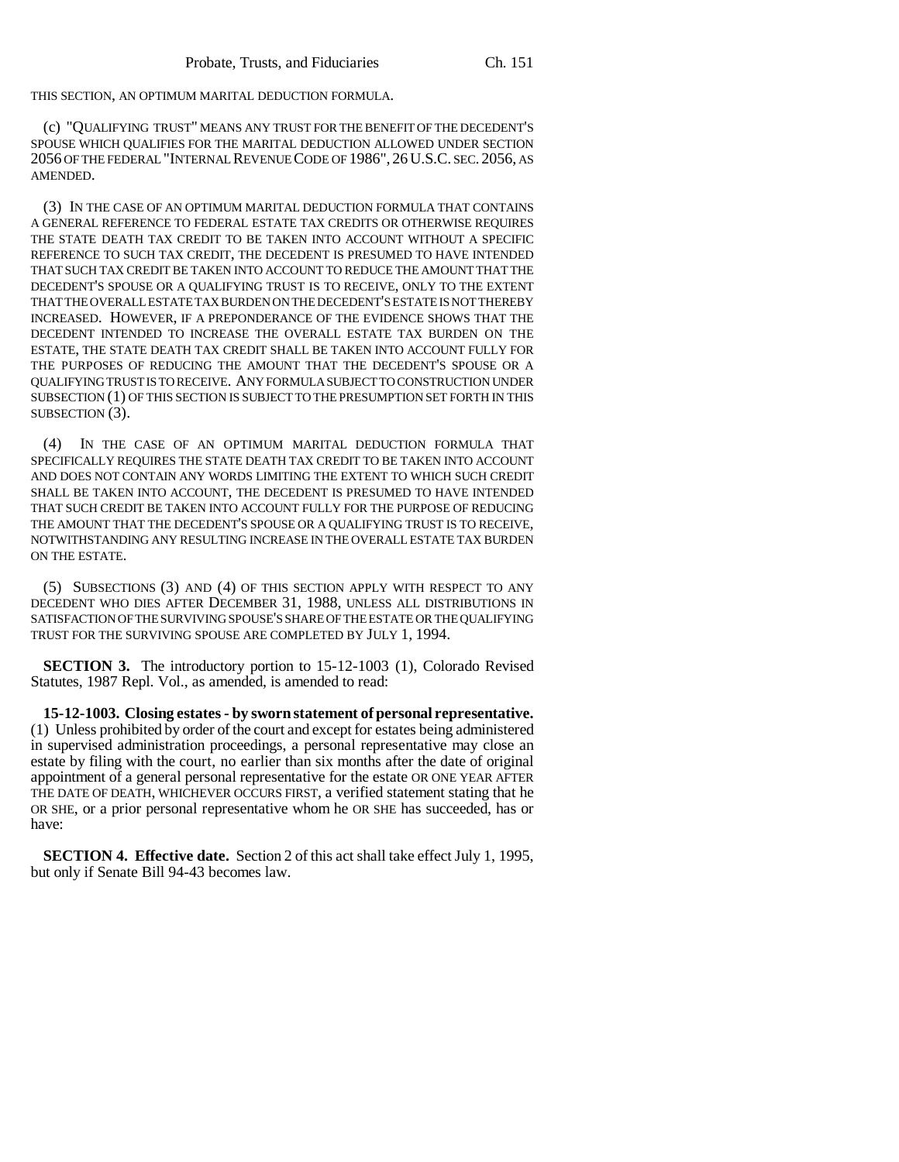THIS SECTION, AN OPTIMUM MARITAL DEDUCTION FORMULA.

(c) "QUALIFYING TRUST" MEANS ANY TRUST FOR THE BENEFIT OF THE DECEDENT'S SPOUSE WHICH QUALIFIES FOR THE MARITAL DEDUCTION ALLOWED UNDER SECTION 2056 OF THE FEDERAL "INTERNAL REVENUE CODE OF 1986", 26U.S.C. SEC. 2056, AS AMENDED.

(3) IN THE CASE OF AN OPTIMUM MARITAL DEDUCTION FORMULA THAT CONTAINS A GENERAL REFERENCE TO FEDERAL ESTATE TAX CREDITS OR OTHERWISE REQUIRES THE STATE DEATH TAX CREDIT TO BE TAKEN INTO ACCOUNT WITHOUT A SPECIFIC REFERENCE TO SUCH TAX CREDIT, THE DECEDENT IS PRESUMED TO HAVE INTENDED THAT SUCH TAX CREDIT BE TAKEN INTO ACCOUNT TO REDUCE THE AMOUNT THAT THE DECEDENT'S SPOUSE OR A QUALIFYING TRUST IS TO RECEIVE, ONLY TO THE EXTENT THAT THE OVERALL ESTATE TAX BURDEN ON THE DECEDENT'S ESTATE IS NOT THEREBY INCREASED. HOWEVER, IF A PREPONDERANCE OF THE EVIDENCE SHOWS THAT THE DECEDENT INTENDED TO INCREASE THE OVERALL ESTATE TAX BURDEN ON THE ESTATE, THE STATE DEATH TAX CREDIT SHALL BE TAKEN INTO ACCOUNT FULLY FOR THE PURPOSES OF REDUCING THE AMOUNT THAT THE DECEDENT'S SPOUSE OR A QUALIFYING TRUST IS TO RECEIVE. ANY FORMULA SUBJECT TO CONSTRUCTION UNDER SUBSECTION (1) OF THIS SECTION IS SUBJECT TO THE PRESUMPTION SET FORTH IN THIS SUBSECTION (3).

(4) IN THE CASE OF AN OPTIMUM MARITAL DEDUCTION FORMULA THAT SPECIFICALLY REQUIRES THE STATE DEATH TAX CREDIT TO BE TAKEN INTO ACCOUNT AND DOES NOT CONTAIN ANY WORDS LIMITING THE EXTENT TO WHICH SUCH CREDIT SHALL BE TAKEN INTO ACCOUNT, THE DECEDENT IS PRESUMED TO HAVE INTENDED THAT SUCH CREDIT BE TAKEN INTO ACCOUNT FULLY FOR THE PURPOSE OF REDUCING THE AMOUNT THAT THE DECEDENT'S SPOUSE OR A QUALIFYING TRUST IS TO RECEIVE, NOTWITHSTANDING ANY RESULTING INCREASE IN THE OVERALL ESTATE TAX BURDEN ON THE ESTATE.

(5) SUBSECTIONS (3) AND (4) OF THIS SECTION APPLY WITH RESPECT TO ANY DECEDENT WHO DIES AFTER DECEMBER 31, 1988, UNLESS ALL DISTRIBUTIONS IN SATISFACTION OF THE SURVIVING SPOUSE'S SHARE OF THE ESTATE OR THE QUALIFYING TRUST FOR THE SURVIVING SPOUSE ARE COMPLETED BY JULY 1, 1994.

**SECTION 3.** The introductory portion to 15-12-1003 (1), Colorado Revised Statutes, 1987 Repl. Vol., as amended, is amended to read:

**15-12-1003. Closing estates - by sworn statement of personal representative.** (1) Unless prohibited by order of the court and except for estates being administered in supervised administration proceedings, a personal representative may close an estate by filing with the court, no earlier than six months after the date of original appointment of a general personal representative for the estate OR ONE YEAR AFTER THE DATE OF DEATH, WHICHEVER OCCURS FIRST, a verified statement stating that he OR SHE, or a prior personal representative whom he OR SHE has succeeded, has or have:

**SECTION 4. Effective date.** Section 2 of this act shall take effect July 1, 1995, but only if Senate Bill 94-43 becomes law.